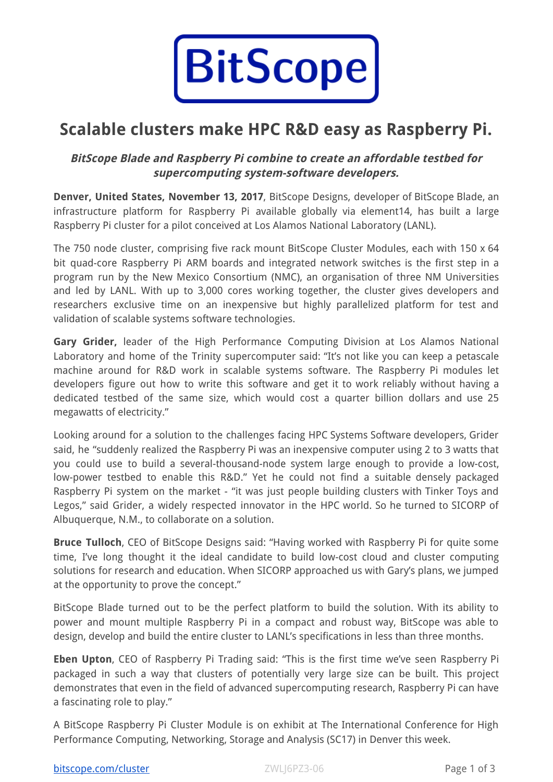

# **Scalable clusters make HPC R&D easy as Raspberry Pi.**

# **BitScope Blade and Raspberry Pi combine to create an affordable testbed for supercomputing system-software developers.**

**Denver, United States, November 13, 2017**, BitScope Designs, developer of BitScope Blade, an infrastructure platform for Raspberry Pi available globally via element14, has built a large Raspberry Pi cluster for a pilot conceived at Los Alamos National Laboratory (LANL).

The 750 node cluster, comprising five rack mount BitScope Cluster Modules, each with 150 x 64 bit quad-core Raspberry Pi ARM boards and integrated network switches is the first step in a program run by the New Mexico Consortium (NMC), an organisation of three NM Universities and led by LANL. With up to 3,000 cores working together, the cluster gives developers and researchers exclusive time on an inexpensive but highly parallelized platform for test and validation of scalable systems software technologies.

**Gary Grider,** leader of the High Performance Computing Division at Los Alamos National Laboratory and home of the Trinity supercomputer said: "It's not like you can keep a petascale machine around for R&D work in scalable systems software. The Raspberry Pi modules let developers figure out how to write this software and get it to work reliably without having a dedicated testbed of the same size, which would cost a quarter billion dollars and use 25 megawatts of electricity."

Looking around for a solution to the challenges facing HPC Systems Software developers, Grider said, he "suddenly realized the Raspberry Pi was an inexpensive computer using 2 to 3 watts that you could use to build a several-thousand-node system large enough to provide a low-cost, low-power testbed to enable this R&D." Yet he could not find a suitable densely packaged Raspberry Pi system on the market - "it was just people building clusters with Tinker Toys and Legos," said Grider, a widely respected innovator in the HPC world. So he turned to SICORP of Albuquerque, N.M., to collaborate on a solution.

**Bruce Tulloch**, CEO of BitScope Designs said: "Having worked with Raspberry Pi for quite some time, I've long thought it the ideal candidate to build low-cost cloud and cluster computing solutions for research and education. When SICORP approached us with Gary's plans, we jumped at the opportunity to prove the concept."

BitScope Blade turned out to be the perfect platform to build the solution. With its ability to power and mount multiple Raspberry Pi in a compact and robust way, BitScope was able to design, develop and build the entire cluster to LANL's specifications in less than three months.

**Eben Upton**, CEO of Raspberry Pi Trading said: "This is the first time we've seen Raspberry Pi packaged in such a way that clusters of potentially very large size can be built. This project demonstrates that even in the field of advanced supercomputing research, Raspberry Pi can have a fascinating role to play."

A BitScope Raspberry Pi Cluster Module is on exhibit at The International Conference for High Performance Computing, Networking, Storage and Analysis (SC17) in Denver this week.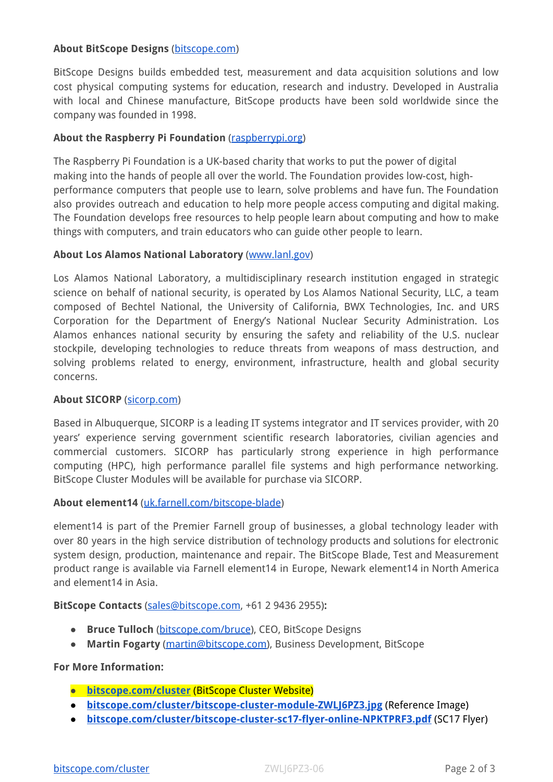### **About BitScope Designs** [\(bitscope.com](http://bitscope.com/))

BitScope Designs builds embedded test, measurement and data acquisition solutions and low cost physical computing systems for education, research and industry. Developed in Australia with local and Chinese manufacture, BitScope products have been sold worldwide since the company was founded in 1998.

# **About the Raspberry Pi Foundation** [\(raspberrypi.org\)](https://www.raspberrypi.org/)

The Raspberry Pi Foundation is a UK-based charity that works to put the power of digital making into the hands of people all over the world. The Foundation provides low-cost, highperformance computers that people use to learn, solve problems and have fun. The Foundation also provides outreach and education to help more people access computing and digital making. The Foundation develops free resources to help people learn about computing and how to make things with computers, and train educators who can guide other people to learn.

### **About Los Alamos National Laboratory** ([www.lanl.gov](http://www.lanl.gov/))

Los Alamos National Laboratory, a multidisciplinary research institution engaged in strategic science on behalf of national security, is operated by Los Alamos National Security, LLC, a team composed of Bechtel National, the University of California, BWX Technologies, Inc. and URS Corporation for the Department of Energy's National Nuclear Security Administration. Los Alamos enhances national security by ensuring the safety and reliability of the U.S. nuclear stockpile, developing technologies to reduce threats from weapons of mass destruction, and solving problems related to energy, environment, infrastructure, health and global security concerns.

#### **About SICORP** [\(sicorp.com](https://www.sicorp.com/))

Based in Albuquerque, SICORP is a leading IT systems integrator and IT services provider, with 20 years' experience serving government scientific research laboratories, civilian agencies and commercial customers. SICORP has particularly strong experience in high performance computing (HPC), high performance parallel file systems and high performance networking. BitScope Cluster Modules will be available for purchase via SICORP.

#### **About element14** [\(uk.farnell.com/bitscope-blade\)](http://uk.farnell.com/bitscope-blade)

element14 is part of the Premier Farnell group of businesses, a global technology leader with over 80 years in the high service distribution of technology products and solutions for electronic system design, production, maintenance and repair. The BitScope Blade, Test and Measurement product range is available via Farnell element14 in Europe, Newark element14 in North America and element14 in Asia.

#### **BitScope Contacts** [\(sales@bitscope.com](mailto:sales@bitscope.com), +61 2 9436 2955)**:**

- **Bruce Tulloch** ([bitscope.com/bruce](http://www.bitscope.com/bruce/)), CEO, BitScope Designs
- **Martin Fogarty** ([martin@bitscope.com](mailto:martin@bitscope.com)), Business Development, BitScope

# **For More Information:**

- **● [bitscope.com/cluster](http://bitscope.com/cluster)** (BitScope Cluster Website)
- **● [bitscope.com/cluster/bitscope-cluster-module-ZWLJ6PZ3.jpg](http://bitscope.com/cluster/bitscope-cluster-module-ZWLJ6PZ3.jpg)** (Reference Image)
- **[bitscope.com/cluster/bitscope-cluster-sc17-flyer-online-NPKTPRF3.pdf](http://bitscope.com/cluster/bitscope-cluster-sc17-flyer-online-NPKTPRF3.pdf)** (SC17 Flyer)